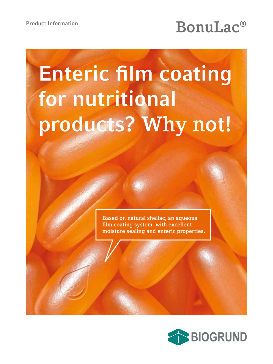# Product Information<br> **BonuLac®**

# **Enteric film coating** for nutritional **Why not! products? Why not!**

**Based on natural shellac, an aqueous film coating system, with excellent moisture sealing and enteric properties.**